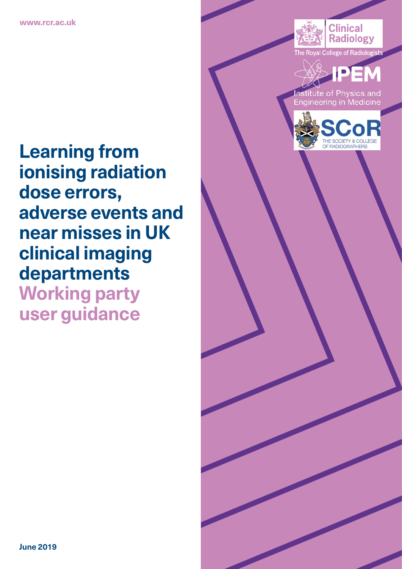

The Royal College of Radiologist



titute of Physics and Engineering in Medicine



**Learning from ionising radiation dose errors, adverse events and near misses in UK clinical imaging departments Working party user guidance**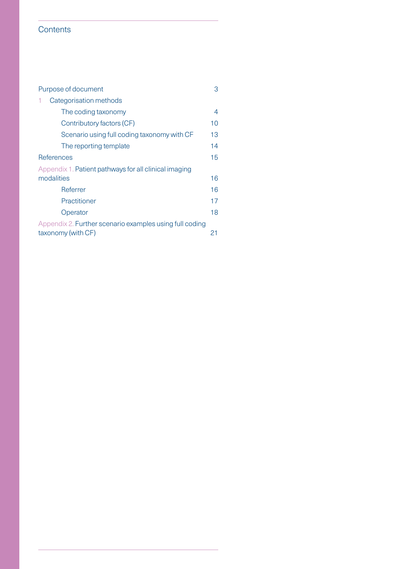# **Contents**

| Purpose of document                                     |    |  |  |  |  |  |  |
|---------------------------------------------------------|----|--|--|--|--|--|--|
| Categorisation methods                                  |    |  |  |  |  |  |  |
| The coding taxonomy                                     | 4  |  |  |  |  |  |  |
| Contributory factors (CF)                               | 10 |  |  |  |  |  |  |
| Scenario using full coding taxonomy with CF             | 13 |  |  |  |  |  |  |
| The reporting template                                  | 14 |  |  |  |  |  |  |
| References                                              |    |  |  |  |  |  |  |
| Appendix 1. Patient pathways for all clinical imaging   |    |  |  |  |  |  |  |
| modalities                                              | 16 |  |  |  |  |  |  |
| Referrer                                                | 16 |  |  |  |  |  |  |
| Practitioner                                            | 17 |  |  |  |  |  |  |
| Operator                                                | 18 |  |  |  |  |  |  |
| Appendix 2. Further scenario examples using full coding |    |  |  |  |  |  |  |
| taxonomy (with CF)<br>21                                |    |  |  |  |  |  |  |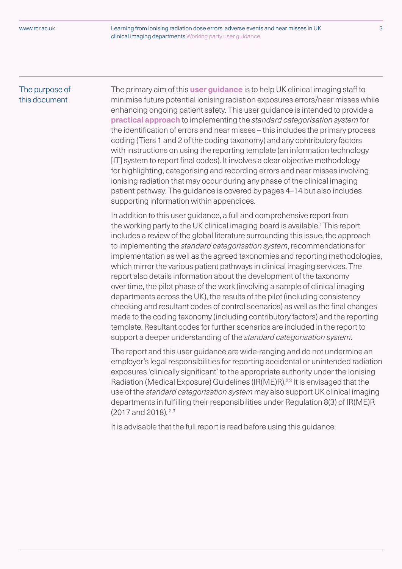# The purpose of this document

The primary aim of this **user guidance** is to help UK clinical imaging staff to minimise future potential ionising radiation exposures errors/near misses while enhancing ongoing patient safety. This user guidance is intended to provide a **practical approach** to implementing the *standard categorisation system* for the identification of errors and near misses – this includes the primary process coding (Tiers 1 and 2 of the coding taxonomy) and any contributory factors with instructions on using the reporting template (an information technology [IT] system to report final codes). It involves a clear objective methodology for highlighting, categorising and recording errors and near misses involving ionising radiation that may occur during any phase of the clinical imaging patient pathway. The guidance is covered by pages 4–14 but also includes supporting information within appendices.

In addition to this user guidance, a full and comprehensive report from the working party to the UK clinical imaging board is available.<sup>1</sup> This report includes a review of the global literature surrounding this issue, the approach to implementing the *standard categorisation system*, recommendations for implementation as well as the agreed taxonomies and reporting methodologies, which mirror the various patient pathways in clinical imaging services. The report also details information about the development of the taxonomy over time, the pilot phase of the work (involving a sample of clinical imaging departments across the UK), the results of the pilot (including consistency checking and resultant codes of control scenarios) as well as the final changes made to the coding taxonomy (including contributory factors) and the reporting template. Resultant codes for further scenarios are included in the report to support a deeper understanding of the *standard categorisation system*.

The report and this user guidance are wide-ranging and do not undermine an employer's legal responsibilities for reporting accidental or unintended radiation exposures 'clinically significant' to the appropriate authority under the Ionising Radiation (Medical Exposure) Guidelines (IR(ME)R).<sup>2,3</sup> It is envisaged that the use of the *standard categorisation system* may also support UK clinical imaging departments in fulfilling their responsibilities under Regulation 8(3) of IR(ME)R (2017 and 2018). 2,3

It is advisable that the full report is read before using this guidance.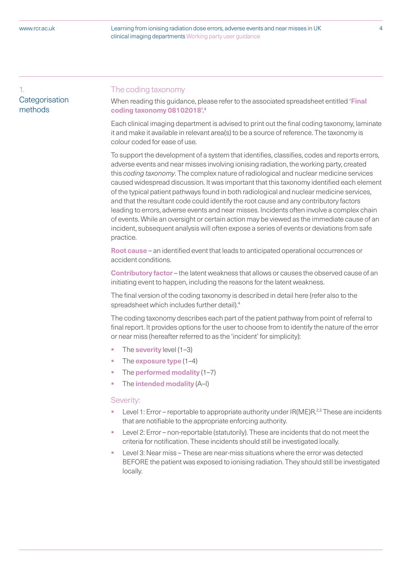1. **Categorisation** methods

## The coding taxonomy

When reading this guidance, please refer to the associated spreadsheet entitled **'Final coding taxonomy 08102018'.**<sup>4</sup>

Each clinical imaging department is advised to print out the final coding taxonomy, laminate it and make it available in relevant area(s) to be a source of reference. The taxonomy is colour coded for ease of use.

To support the development of a system that identifies, classifies, codes and reports errors, adverse events and near misses involving ionising radiation, the working party, created this *coding taxonomy*. The complex nature of radiological and nuclear medicine services caused widespread discussion. It was important that this taxonomy identified each element of the typical patient pathways found in both radiological and nuclear medicine services, and that the resultant code could identify the root cause and any contributory factors leading to errors, adverse events and near misses. Incidents often involve a complex chain of events. While an oversight or certain action may be viewed as the immediate cause of an incident, subsequent analysis will often expose a series of events or deviations from safe practice.

**Root cause** – an identified event that leads to anticipated operational occurrences or accident conditions.

**Contributory factor** – the latent weakness that allows or causes the observed cause of an initiating event to happen, including the reasons for the latent weakness.

The final version of the coding taxonomy is described in detail here (refer also to the spreadsheet which includes further detail).4

The coding taxonomy describes each part of the patient pathway from point of referral to final report. It provides options for the user to choose from to identify the nature of the error or near miss (hereafter referred to as the 'incident' for simplicity):

- The **severity** level (1–3)
- The **exposure type** (1–4)
- § The **performed modality** (1–7)
- § The **intended modality** (A–I)

#### Severity:

- Level 1: Error reportable to appropriate authority under  $IR(ME)R<sup>2,3</sup>$  These are incidents that are notifiable to the appropriate enforcing authority.
- Level 2: Error non-reportable (statutorily). These are incidents that do not meet the criteria for notification. These incidents should still be investigated locally.
- Level 3: Near miss These are near-miss situations where the error was detected BEFORE the patient was exposed to ionising radiation. They should still be investigated locally.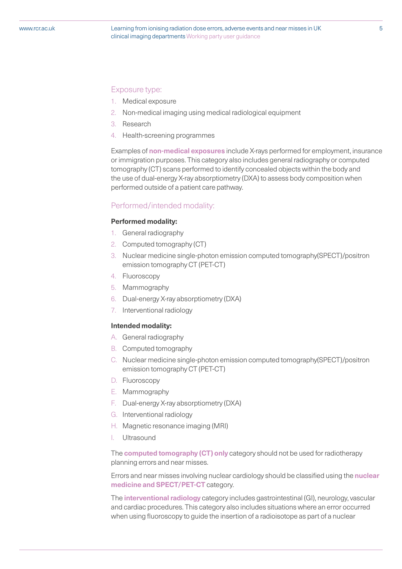# Exposure type:

- 1. Medical exposure
- 2. Non-medical imaging using medical radiological equipment
- 3. Research
- 4. Health-screening programmes

Examples of **non-medical exposures** include X-rays performed for employment, insurance or immigration purposes. This category also includes general radiography or computed tomography (CT) scans performed to identify concealed objects within the body and the use of dual-energy X-ray absorptiometry (DXA) to assess body composition when performed outside of a patient care pathway.

### Performed/intended modality:

#### **Performed modality:**

- 1. General radiography
- 2. Computed tomography (CT)
- 3. Nuclear medicine single-photon emission computed tomography(SPECT)/positron emission tomography CT (PET-CT)
- 4. Fluoroscopy
- 5. Mammography
- 6. Dual-energy X-ray absorptiometry (DXA)
- 7. Interventional radiology

#### **Intended modality:**

- A. General radiography
- B. Computed tomography
- C. Nuclear medicine single-photon emission computed tomography(SPECT)/positron emission tomography CT (PET-CT)
- D. Fluoroscopy
- E. Mammography
- F. Dual-energy X-ray absorptiometry (DXA)
- G. Interventional radiology
- H. Magnetic resonance imaging (MRI)
- I. Ultrasound

The **computed tomography (CT) only** category should not be used for radiotherapy planning errors and near misses.

Errors and near misses involving nuclear cardiology should be classified using the **nuclear medicine and SPECT/PET-CT** category.

The **interventional radiology** category includes gastrointestinal (GI), neurology, vascular and cardiac procedures. This category also includes situations where an error occurred when using fluoroscopy to guide the insertion of a radioisotope as part of a nuclear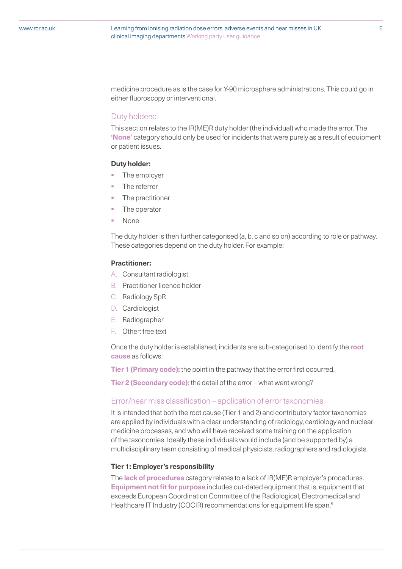medicine procedure as is the case for Y-90 microsphere administrations. This could go in either fluoroscopy or interventional.

#### Duty holders:

This section relates to the IR(ME)R duty holder (the individual) who made the error. The **'None'** category should only be used for incidents that were purely as a result of equipment or patient issues.

#### **Duty holder:**

- The employer
- The referrer
- The practitioner
- The operator
- § None

The duty holder is then further categorised (a, b, c and so on) according to role or pathway. These categories depend on the duty holder. For example:

### **Practitioner:**

- A. Consultant radiologist
- B. Practitioner licence holder
- C. Radiology SpR
- D. Cardiologist
- E. Radiographer
- F. Other: free text

Once the duty holder is established, incidents are sub-categorised to identify the **root cause** as follows:

**Tier 1 (Primary code):** the point in the pathway that the error first occurred.

**Tier 2 (Secondary code):** the detail of the error – what went wrong?

#### Error/near miss classification – application of error taxonomies

It is intended that both the root cause (Tier 1 and 2) and contributory factor taxonomies are applied by individuals with a clear understanding of radiology, cardiology and nuclear medicine processes, and who will have received some training on the application of the taxonomies. Ideally these individuals would include (and be supported by) a multidisciplinary team consisting of medical physicists, radiographers and radiologists.

#### **Tier 1: Employer's responsibility**

The **lack of procedures** category relates to a lack of IR(ME)R employer's procedures. **Equipment not fit for purpose** includes out-dated equipment that is, equipment that exceeds European Coordination Committee of the Radiological, Electromedical and Healthcare IT Industry (COCIR) recommendations for equipment life span.<sup>5</sup>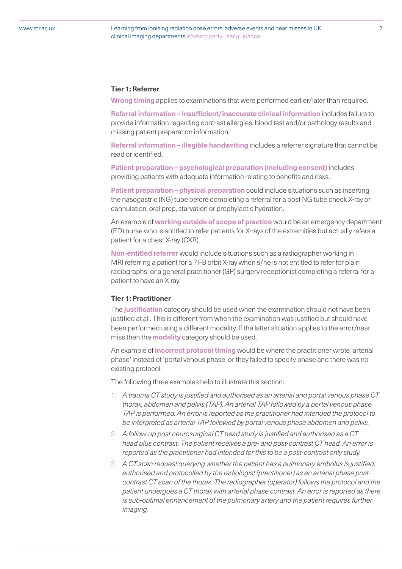#### **Tier 1: Referrer**

**Wrong timing** applies to examinations that were performed earlier/later than required.

**Referral information – insufficient/inaccurate clinical information** includes failure to provide information regarding contrast allergies, blood test and/or pathology results and missing patient preparation information.

**Referral information – illegible handwriting** includes a referrer signature that cannot be read or identified.

**Patient preparation – psychological preparation (including consent)** includes providing patients with adequate information relating to benefits and risks.

**Patient preparation – physical preparation** could include situations such as inserting the nasogastric (NG) tube before completing a referral for a post NG tube check X-ray or cannulation, oral prep, starvation or prophylactic hydration.

An example of **working outside of scope of practice** would be an emergency department (ED) nurse who is entitled to refer patients for X-rays of the extremities but actually refers a patient for a chest X-ray (CXR).

**Non-entitled referrer** would include situations such as a radiographer working in MRI referring a patient for a ? FB orbit X-ray when s/he is not entitled to refer for plain radiographs; or a general practitioner (GP) surgery receptionist completing a referral for a patient to have an X-ray.

#### **Tier 1: Practitioner**

The **justification** category should be used when the examination should not have been justified at all. This is different from when the examination was justified but should have been performed using a different modality. If the latter situation applies to the error/near miss then the **modality** category should be used.

An example of **incorrect protocol timing** would be where the practitioner wrote 'arterial phase' instead of 'portal venous phase' or they failed to specify phase and there was no existing protocol.

The following three examples help to illustrate this section:

- 1. *A trauma CT study is justified and authorised as an arterial and portal venous phase CT thorax, abdomen and pelvis (TAP). An arterial TAP followed by a portal venous phase TAP is performed. An error is reported as the practitioner had intended the protocol to be interpreted as arterial TAP followed by portal venous phase abdomen and pelvis.*
- 2. *A follow-up post neurosurgical CT head study is justified and authorised as a CT head plus contrast. The patient receives a pre- and post-contrast CT head. An error is reported as the practitioner had intended for this to be a post-contrast only study.*
- 3. *A CT scan request querying whether the patient has a pulmonary embolus is justified, authorised and protocolled by the radiologist (practitioner) as an arterial phase postcontrast CT scan of the thorax. The radiographer (operator) follows the protocol and the patient undergoes a CT thorax with arterial phase contrast. An error is reported as there is sub-optimal enhancement of the pulmonary artery and the patient requires further imaging.*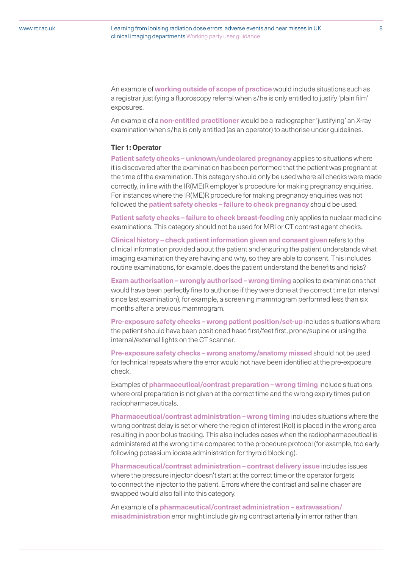An example of **working outside of scope of practice** would include situations such as a registrar justifying a fluoroscopy referral when s/he is only entitled to justify 'plain film' exposures.

An example of a **non-entitled practitioner** would be a radiographer 'justifying' an X-ray examination when s/he is only entitled (as an operator) to authorise under guidelines.

#### **Tier 1: Operator**

**Patient safety checks – unknown/undeclared pregnancy** applies to situations where it is discovered after the examination has been performed that the patient was pregnant at the time of the examination. This category should only be used where all checks were made correctly, in line with the IR(ME)R employer's procedure for making pregnancy enquiries. For instances where the IR(ME)R procedure for making pregnancy enquiries was not followed the **patient safety checks – failure to check pregnancy** should be used.

**Patient safety checks – failure to check breast-feeding only applies to nuclear medicine** examinations. This category should not be used for MRI or CT contrast agent checks.

**Clinical history – check patient information given and consent given** refers to the clinical information provided about the patient and ensuring the patient understands what imaging examination they are having and why, so they are able to consent. This includes routine examinations, for example, does the patient understand the benefits and risks?

**Exam authorisation – wrongly authorised – wrong timing** applies to examinations that would have been perfectly fine to authorise if they were done at the correct time (or interval since last examination), for example, a screening mammogram performed less than six months after a previous mammogram.

**Pre-exposure safety checks – wrong patient position/set-up** includes situations where the patient should have been positioned head first/feet first, prone/supine or using the internal/external lights on the CT scanner.

**Pre-exposure safety checks – wrong anatomy/anatomy missed** should not be used for technical repeats where the error would not have been identified at the pre-exposure check.

Examples of **pharmaceutical/contrast preparation – wrong timing** include situations where oral preparation is not given at the correct time and the wrong expiry times put on radiopharmaceuticals.

**Pharmaceutical/contrast administration – wrong timing** includes situations where the wrong contrast delay is set or where the region of interest (RoI) is placed in the wrong area resulting in poor bolus tracking. This also includes cases when the radiopharmaceutical is administered at the wrong time compared to the procedure protocol (for example, too early following potassium iodate administration for thyroid blocking).

**Pharmaceutical/contrast administration – contrast delivery issue** includes issues where the pressure injector doesn't start at the correct time or the operator forgets to connect the injector to the patient. Errors where the contrast and saline chaser are swapped would also fall into this category.

An example of a **pharmaceutical/contrast administration – extravasation/ misadministration** error might include giving contrast arterially in error rather than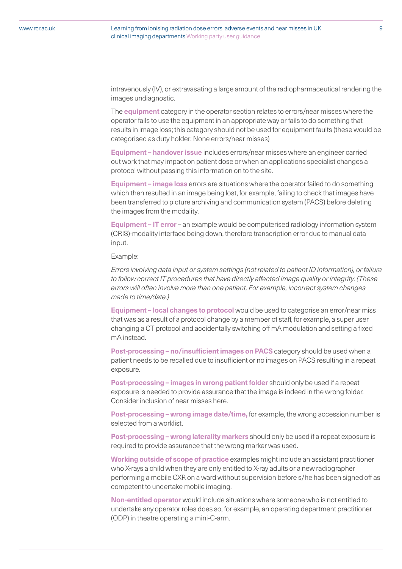intravenously (IV), or extravasating a large amount of the radiopharmaceutical rendering the images undiagnostic.

The **equipment** category in the operator section relates to errors/near misses where the operator fails to use the equipment in an appropriate way or fails to do something that results in image loss; this category should not be used for equipment faults (these would be categorised as duty holder: None errors/near misses)

**Equipment – handover issue** includes errors/near misses where an engineer carried out work that may impact on patient dose or when an applications specialist changes a protocol without passing this information on to the site.

**Equipment – image loss** errors are situations where the operator failed to do something which then resulted in an image being lost, for example, failing to check that images have been transferred to picture archiving and communication system (PACS) before deleting the images from the modality.

**Equipment – IT error** – an example would be computerised radiology information system (CRIS)-modality interface being down, therefore transcription error due to manual data input.

Example:

*Errors involving data input or system settings (not related to patient ID information), or failure to follow correct IT procedures that have directly affected image quality or integrity. (These errors will often involve more than one patient, For example, incorrect system changes made to time/date.)*

**Equipment – local changes to protocol** would be used to categorise an error/near miss that was as a result of a protocol change by a member of staff, for example, a super user changing a CT protocol and accidentally switching off mA modulation and setting a fixed mA instead.

**Post-processing – no/insufficient images on PACS** category should be used when a patient needs to be recalled due to insufficient or no images on PACS resulting in a repeat exposure.

**Post-processing – images in wrong patient folder** should only be used if a repeat exposure is needed to provide assurance that the image is indeed in the wrong folder. Consider inclusion of near misses here.

**Post-processing – wrong image date/time,** for example, the wrong accession number is selected from a worklist.

**Post-processing – wrong laterality markers** should only be used if a repeat exposure is required to provide assurance that the wrong marker was used.

**Working outside of scope of practice** examples might include an assistant practitioner who X-rays a child when they are only entitled to X-ray adults or a new radiographer performing a mobile CXR on a ward without supervision before s/he has been signed off as competent to undertake mobile imaging.

**Non-entitled operator** would include situations where someone who is not entitled to undertake any operator roles does so, for example, an operating department practitioner (ODP) in theatre operating a mini-C-arm.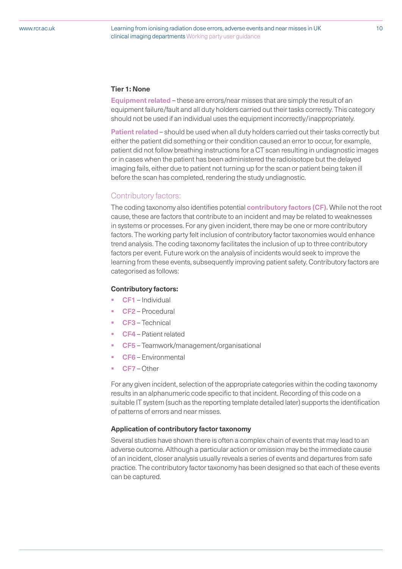#### **Tier 1: None**

**Equipment related** – these are errors/near misses that are simply the result of an equipment failure/fault and all duty holders carried out their tasks correctly. This category should not be used if an individual uses the equipment incorrectly/inappropriately.

**Patient related** – should be used when all duty holders carried out their tasks correctly but either the patient did something or their condition caused an error to occur, for example, patient did not follow breathing instructions for a CT scan resulting in undiagnostic images or in cases when the patient has been administered the radioisotope but the delayed imaging fails, either due to patient not turning up for the scan or patient being taken ill before the scan has completed, rendering the study undiagnostic.

### Contributory factors:

The coding taxonomy also identifies potential **contributory factors (CF).** While not the root cause, these are factors that contribute to an incident and may be related to weaknesses in systems or processes. For any given incident, there may be one or more contributory factors. The working party felt inclusion of contributory factor taxonomies would enhance trend analysis. The coding taxonomy facilitates the inclusion of up to three contributory factors per event. Future work on the analysis of incidents would seek to improve the learning from these events, subsequently improving patient safety. Contributory factors are categorised as follows:

### **Contributory factors:**

- § **CF1**  Individual
- § **CF2**  Procedural
- § **CF3** Technical
- § **CF4**  Patient related
- § **CF5** Teamwork/management/organisational
- § **CF6** Environmental
- § **CF7** Other

For any given incident, selection of the appropriate categories within the coding taxonomy results in an alphanumeric code specific to that incident. Recording of this code on a suitable IT system (such as the reporting template detailed later) supports the identification of patterns of errors and near misses.

#### **Application of contributory factor taxonomy**

Several studies have shown there is often a complex chain of events that may lead to an adverse outcome. Although a particular action or omission may be the immediate cause of an incident, closer analysis usually reveals a series of events and departures from safe practice. The contributory factor taxonomy has been designed so that each of these events can be captured.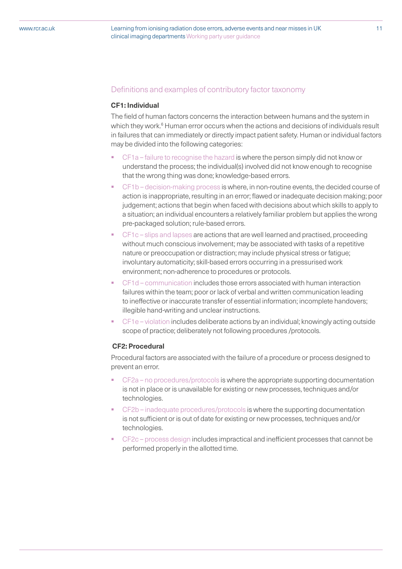## Definitions and examples of contributory factor taxonomy

### **CF1: Individual**

The field of human factors concerns the interaction between humans and the system in which they work.<sup>6</sup> Human error occurs when the actions and decisions of individuals result in failures that can immediately or directly impact patient safety. Human or individual factors may be divided into the following categories:

- § CF1a failure to recognise the hazard is where the person simply did not know or understand the process; the individual(s) involved did not know enough to recognise that the wrong thing was done; knowledge-based errors.
- § CF1b decision-making process is where, in non-routine events, the decided course of action is inappropriate, resulting in an error; flawed or inadequate decision making; poor judgement; actions that begin when faced with decisions about which skills to apply to a situation; an individual encounters a relatively familiar problem but applies the wrong pre-packaged solution; rule-based errors.
- § CF1c slips and lapses are actions that are well learned and practised, proceeding without much conscious involvement; may be associated with tasks of a repetitive nature or preoccupation or distraction; may include physical stress or fatigue; involuntary automaticity; skill-based errors occurring in a pressurised work environment; non-adherence to procedures or protocols.
- § CF1d communication includes those errors associated with human interaction failures within the team; poor or lack of verbal and written communication leading to ineffective or inaccurate transfer of essential information; incomplete handovers; illegible hand-writing and unclear instructions.
- § CF1e violation includes deliberate actions by an individual; knowingly acting outside scope of practice; deliberately not following procedures /protocols.

#### **CF2: Procedural**

Procedural factors are associated with the failure of a procedure or process designed to prevent an error.

- § CF2a no procedures/protocols is where the appropriate supporting documentation is not in place or is unavailable for existing or new processes, techniques and/or technologies.
- § CF2b inadequate procedures/protocols is where the supporting documentation is not sufficient or is out of date for existing or new processes, techniques and/or technologies.
- § CF2c process design includes impractical and inefficient processes that cannot be performed properly in the allotted time.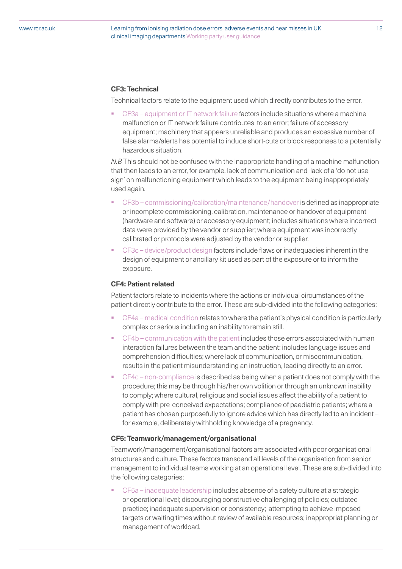### **CF3: Technical**

Technical factors relate to the equipment used which directly contributes to the error.

§ CF3a – equipment or IT network failure factors include situations where a machine malfunction or IT network failure contributes to an error; failure of accessory equipment; machinery that appears unreliable and produces an excessive number of false alarms/alerts has potential to induce short-cuts or block responses to a potentially hazardous situation.

*N.B* This should not be confused with the inappropriate handling of a machine malfunction that then leads to an error, for example, lack of communication and lack of a 'do not use sign' on malfunctioning equipment which leads to the equipment being inappropriately used again.

- § CF3b commissioning/calibration/maintenance/handover is defined as inappropriate or incomplete commissioning, calibration, maintenance or handover of equipment (hardware and software) or accessory equipment; includes situations where incorrect data were provided by the vendor or supplier; where equipment was incorrectly calibrated or protocols were adjusted by the vendor or supplier.
- § CF3c device/product design factors include flaws or inadequacies inherent in the design of equipment or ancillary kit used as part of the exposure or to inform the exposure.

#### **CF4: Patient related**

Patient factors relate to incidents where the actions or individual circumstances of the patient directly contribute to the error. These are sub-divided into the following categories:

- § CF4a medical condition relates to where the patient's physical condition is particularly complex or serious including an inability to remain still.
- CF4b communication with the patient includes those errors associated with human interaction failures between the team and the patient: includes language issues and comprehension difficulties; where lack of communication, or miscommunication, results in the patient misunderstanding an instruction, leading directly to an error.
- § CF4c non-compliance is described as being when a patient does not comply with the procedure; this may be through his/her own volition or through an unknown inability to comply; where cultural, religious and social issues affect the ability of a patient to comply with pre-conceived expectations; compliance of paediatric patients; where a patient has chosen purposefully to ignore advice which has directly led to an incident – for example, deliberately withholding knowledge of a pregnancy.

#### **CF5: Teamwork/management/organisational**

Teamwork/management/organisational factors are associated with poor organisational structures and culture. These factors transcend all levels of the organisation from senior management to individual teams working at an operational level. These are sub-divided into the following categories:

§ CF5a – inadequate leadership includes absence of a safety culture at a strategic or operational level; discouraging constructive challenging of policies; outdated practice; inadequate supervision or consistency; attempting to achieve imposed targets or waiting times without review of available resources; inappropriat planning or management of workload.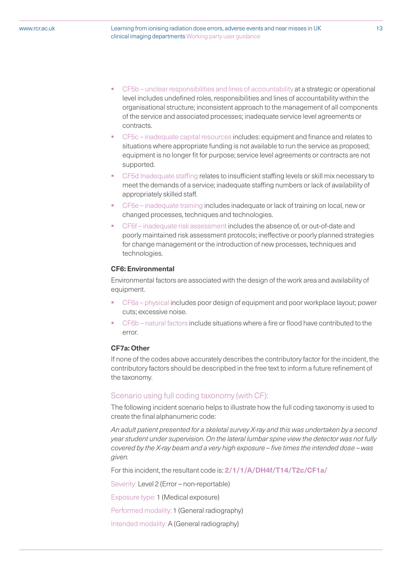- § CF5b unclear responsibilities and lines of accountability at a strategic or operational level includes undefined roles, responsibilities and lines of accountability within the organisational structure; inconsistent approach to the management of all components of the service and associated processes; inadequate service level agreements or contracts.
- § CF5c inadequate capital resources includes: equipment and finance and relates to situations where appropriate funding is not available to run the service as proposed; equipment is no longer fit for purpose; service level agreements or contracts are not supported.
- § CF5d Inadequate staffing relates to insufficient staffing levels or skill mix necessary to meet the demands of a service; inadequate staffing numbers or lack of availability of appropriately skilled staff.
- § CF5e inadequate training includes inadequate or lack of training on local, new or changed processes, techniques and technologies.
- § CF5f inadequate risk assessment includes the absence of, or out-of-date and poorly maintained risk assessment protocols; ineffective or poorly planned strategies for change management or the introduction of new processes, techniques and technologies.

#### **CF6: Environmental**

Environmental factors are associated with the design of the work area and availability of equipment.

- § CF6a physical includes poor design of equipment and poor workplace layout; power cuts; excessive noise.
- § CF6b natural factors include situations where a fire or flood have contributed to the error.

# **CF7a: Other**

If none of the codes above accurately describes the contributory factor for the incident, the contributory factors should be descripbed in the free text to inform a future refinement of the taxonomy.

#### Scenario using full coding taxonomy (with CF):

The following incident scenario helps to illustrate how the full coding taxonomy is used to create the final alphanumeric code:

*An adult patient presented for a skeletal survey X-ray and this was undertaken by a second year student under supervision. On the lateral lumbar spine view the detector was not fully covered by the X-ray beam and a very high exposure – five times the intended dose – was given.* 

For this incident, the resultant code is: **2/1/1/A/DH4f/T14/T2c/CF1a/**

Severity: Level 2 (Error – non-reportable)

Exposure type: 1 (Medical exposure)

Performed modality: 1 (General radiography)

Intended modality: A (General radiography)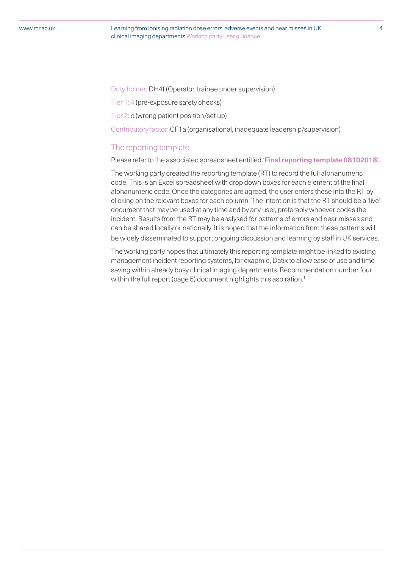Duty holder: DH4f (Operator, trainee under supervision)

Tier 1: 4 (pre-exposure safety checks)

Tier 2: c (wrong patient position/set up)

Contributory factor: CF1a (organisational, inadequate leadership/supervision)

#### The reporting template

Please refer to the associated spreadsheet entitled **'Final reporting template 08102018'.**

The working party created the reporting template (RT) to record the full alphanumeric code. This is an Excel spreadsheet with drop down boxes for each element of the final alphanumeric code. Once the categories are agreed, the user enters these into the RT by clicking on the relevant boxes for each column. The intention is that the RT should be a 'live' document that may be used at any time and by any user, preferably whoever codes the incident. Results from the RT may be analysed for patterns of errors and near misses and can be shared locally or nationally. It is hoped that the information from these patterns will be widely disseminated to support ongoing discussion and learning by staff in UK services.

The working party hopes that ultimately this reporting template might be linked to existing management incident reporting systems, for exapmle, Datix to allow ease of use and time saving within already busy clinical imaging departments. Recommendation number four within the full report (page 5) document highlights this aspiration.<sup>1</sup>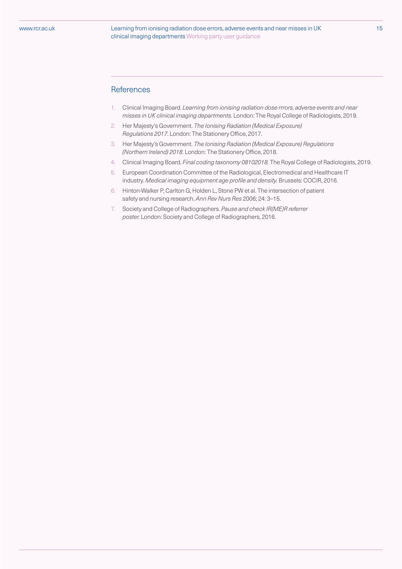### References

- 1. Clinical Imaging Board. *Learning from ionising radiation dose rrrors, adverse events and near misses in UK clinical imaging departments.* London: The Royal College of Radiologists, 2019.
- 2. Her Majesty's Government. *The Ionising Radiation (Medical Exposure) Regulations 2017*. London: The Stationery Office, 2017.
- 3. Her Majesty's Government. *The Ionising Radiation (Medical Exposure) Regulations (Northern Ireland) 2018*. London: The Stationery Office, 2018.
- 4. Clinical Imaging Board. *Final coding taxonomy 08102018.* The Royal College of Radiologists, 2019.
- 5. European Coordination Committee of the Radiological, Electromedical and Healthcare IT industry. *Medical imaging equipment age profile and density.* Brussels: COCIR, 2016.
- 6. Hinton-Walker P, Carlton G, Holden L, Stone PW et al. The intersection of patient safety and nursing research. *Ann Rev Nurs Res* 2006; 24: 3–15.
- 7. Society and College of Radiographers. *Pause and check IR(ME)R referrer poster.* London: Society and College of Radiographers, 2016.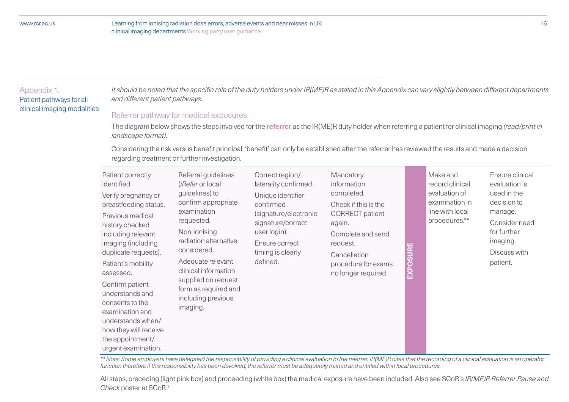#### Appendix 1.

Patient pathways for all clinical imaging modalities *It should be noted that the specific role of the duty holders under IR(ME)R as stated in this Appendix can vary slightly between different departments and different patient pathways.*

# Referrer pathway for medical exposures

The diagram below shows the steps involved for the **referrer** as the IR(ME)R duty holder when referring a patient for clinical imaging *(read/print in landscape format)*.

Considering the risk versus benefit principal, 'benefit' can only be established after the referrer has reviewed the results and made a decision regarding treatment or further investigation.

| Patient correctly<br>identified.<br>Verify pregnancy or<br>breastfeeding status.<br>Previous medical<br>history checked<br>including relevant<br>imaging (including<br>duplicate requests).<br>Patient's mobility<br>assessed.<br>Confirm patient<br>understands and<br>consents to the<br>examination and<br>understands when/<br>how they will receive<br>the appointment/<br>urgent examination. | Referral guidelines<br>( <i>iRefer</i> or local<br>guidelines) to<br>confirm appropriate<br>examination<br>requested.<br>Non-ionising<br>radiation alternative<br>considered.<br>Adequate relevant<br>clinical information<br>supplied on request<br>form as required and<br>including previous<br>imaging. | Correct region/<br>laterality confirmed.<br>Unique identifier<br>confirmed<br>(signature/electronic<br>signature/correct<br>user login).<br>Ensure correct<br>timing is clearly<br>defined. | Mandatory<br>information<br>completed.<br>Check if this is the<br><b>CORRECT</b> patient<br>again.<br>Complete and send<br>request.<br>Cancellation<br>procedure for exams<br>no longer required. | EXPOSURE | Make and<br>record clinical<br>evaluation of<br>examination in<br>line with local<br>procedures.** | Ensure clinical<br>evaluation is<br>used in the<br>decision to<br>manage.<br>Consider need<br>for further<br>imaging.<br>Discuss with<br>patient. |
|-----------------------------------------------------------------------------------------------------------------------------------------------------------------------------------------------------------------------------------------------------------------------------------------------------------------------------------------------------------------------------------------------------|-------------------------------------------------------------------------------------------------------------------------------------------------------------------------------------------------------------------------------------------------------------------------------------------------------------|---------------------------------------------------------------------------------------------------------------------------------------------------------------------------------------------|---------------------------------------------------------------------------------------------------------------------------------------------------------------------------------------------------|----------|----------------------------------------------------------------------------------------------------|---------------------------------------------------------------------------------------------------------------------------------------------------|
|-----------------------------------------------------------------------------------------------------------------------------------------------------------------------------------------------------------------------------------------------------------------------------------------------------------------------------------------------------------------------------------------------------|-------------------------------------------------------------------------------------------------------------------------------------------------------------------------------------------------------------------------------------------------------------------------------------------------------------|---------------------------------------------------------------------------------------------------------------------------------------------------------------------------------------------|---------------------------------------------------------------------------------------------------------------------------------------------------------------------------------------------------|----------|----------------------------------------------------------------------------------------------------|---------------------------------------------------------------------------------------------------------------------------------------------------|

*\*\* Note: Some employers have delegated the responsibility of providing a clinical evaluation to the referrer. IR(ME)R cites that the recording of a clinical evaluation is an operator function therefore if this responsibility has been devolved, the referrer must be adequately trained and entitled within local procedures.*

All steps, preceding (light pink box) and proceeding (white box) the medical exposure have been included. Also see SCoR's *IR(ME)R Referrer Pause and Check* poster at SCoR.7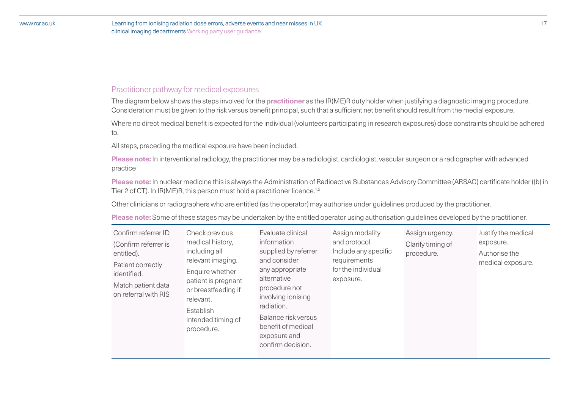# Practitioner pathway for medical exposures

The diagram below shows the steps involved for the **practitioner** as the IR(ME)R duty holder when justifying a diagnostic imaging procedure. Consideration must be given to the risk versus benefit principal, such that a sufficient net benefit should result from the medial exposure.

Where no direct medical benefit is expected for the individual (volunteers participating in research exposures) dose constraints should be adhered to.

All steps, preceding the medical exposure have been included.

**Please note:** In interventional radiology, the practitioner may be a radiologist, cardiologist, vascular surgeon or a radiographer with advanced practice

**Please note:** In nuclear medicine this is always the Administration of Radioactive Substances Advisory Committee (ARSAC) certificate holder ((b) in Tier 2 of CT). In IR(ME)R, this person must hold a practitioner licence.<sup>1,2</sup>

Other clinicians or radiographers who are entitled (as the operator) may authorise under guidelines produced by the practitioner.

**Please note:** Some of these stages may be undertaken by the entitled operator using authorisation guidelines developed by the practitioner.

| Confirm referrer ID<br>(Confirm referrer is<br>entitled).<br>Patient correctly<br>identified.<br>Match patient data<br>on referral with RIS | Check previous<br>medical history,<br>including all<br>relevant imaging.<br>Enquire whether<br>patient is pregnant<br>or breastfeeding if<br>relevant.<br>Establish<br>intended timing of<br>procedure. | Evaluate clinical<br>information<br>supplied by referrer<br>and consider<br>any appropriate<br>alternative<br>procedure not<br>involving ionising<br>radiation.<br>Balance risk versus<br>benefit of medical<br>exposure and<br>confirm decision. | Assign modality<br>and protocol.<br>Include any specific<br>requirements<br>for the individual<br>exposure. | Assign urgency.<br>Clarify timing of<br>procedure. | Justify the medical<br>exposure.<br>Authorise the<br>medical exposure. |
|---------------------------------------------------------------------------------------------------------------------------------------------|---------------------------------------------------------------------------------------------------------------------------------------------------------------------------------------------------------|---------------------------------------------------------------------------------------------------------------------------------------------------------------------------------------------------------------------------------------------------|-------------------------------------------------------------------------------------------------------------|----------------------------------------------------|------------------------------------------------------------------------|
|---------------------------------------------------------------------------------------------------------------------------------------------|---------------------------------------------------------------------------------------------------------------------------------------------------------------------------------------------------------|---------------------------------------------------------------------------------------------------------------------------------------------------------------------------------------------------------------------------------------------------|-------------------------------------------------------------------------------------------------------------|----------------------------------------------------|------------------------------------------------------------------------|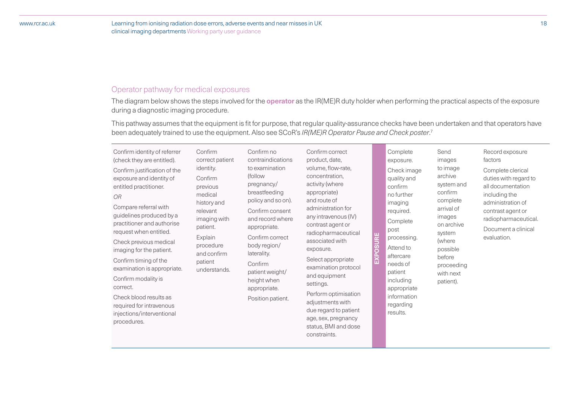# Operator pathway for medical exposures

The diagram below shows the steps involved for the **operator** as the IR(ME)R duty holder when performing the practical aspects of the exposure during a diagnostic imaging procedure.

This pathway assumes that the equipment is fit for purpose, that regular quality-assurance checks have been undertaken and that operators have been adequately trained to use the equipment. Also see SCoR's *IR(ME)R Operator Pause and Check poster*. 7

| Confirm identity of referrer                                                                                                                                                                                                                                                                                                                                                                                                                                    | Confirm                                                                                                                                                              | Confirm no                                                                                                                                                                                                                                                                 | Confirm correct                                                                                                                                                                                                                                                                                                                                                                                                                   |               | Complete                                                                                                                                                                                                                            | Send                                                                                                                                                                             | Record exposure                                                                                                                                                                          |
|-----------------------------------------------------------------------------------------------------------------------------------------------------------------------------------------------------------------------------------------------------------------------------------------------------------------------------------------------------------------------------------------------------------------------------------------------------------------|----------------------------------------------------------------------------------------------------------------------------------------------------------------------|----------------------------------------------------------------------------------------------------------------------------------------------------------------------------------------------------------------------------------------------------------------------------|-----------------------------------------------------------------------------------------------------------------------------------------------------------------------------------------------------------------------------------------------------------------------------------------------------------------------------------------------------------------------------------------------------------------------------------|---------------|-------------------------------------------------------------------------------------------------------------------------------------------------------------------------------------------------------------------------------------|----------------------------------------------------------------------------------------------------------------------------------------------------------------------------------|------------------------------------------------------------------------------------------------------------------------------------------------------------------------------------------|
| (check they are entitled).                                                                                                                                                                                                                                                                                                                                                                                                                                      | correct patient                                                                                                                                                      | contraindications                                                                                                                                                                                                                                                          | product, date,                                                                                                                                                                                                                                                                                                                                                                                                                    |               | exposure.                                                                                                                                                                                                                           | images                                                                                                                                                                           | factors                                                                                                                                                                                  |
| Confirm justification of the<br>exposure and identity of<br>entitled practitioner.<br><b>OR</b><br>Compare referral with<br>guidelines produced by a<br>practitioner and authorise<br>request when entitled.<br>Check previous medical<br>imaging for the patient.<br>Confirm timing of the<br>examination is appropriate.<br>Confirm modality is<br>correct.<br>Check blood results as<br>required for intravenous<br>injections/interventional<br>procedures. | identity.<br>Confirm<br>previous<br>medical<br>history and<br>relevant<br>imaging with<br>patient.<br>Explain<br>procedure<br>and confirm<br>patient<br>understands. | to examination<br>(follow)<br>pregnancy/<br>breastfeeding<br>policy and so on).<br>Confirm consent<br>and record where<br>appropriate.<br>Confirm correct<br>body region/<br>laterality.<br>Confirm<br>patient weight/<br>height when<br>appropriate.<br>Position patient. | volume, flow-rate,<br>concentration,<br>activity (where<br>appropriate)<br>and route of<br>administration for<br>any intravenous (IV)<br>contrast agent or<br>radiopharmaceutical<br>associated with<br>exposure.<br>Select appropriate<br>examination protocol<br>and equipment<br>settings.<br>Perform optimisation<br>adjustments with<br>due regard to patient<br>age, sex, pregnancy<br>status, BMI and dose<br>constraints. | ш<br>EXPOSURI | Check image<br>quality and<br>confirm<br>no further<br>imaging<br>required.<br>Complete<br>post<br>processing.<br>Attend to<br>aftercare<br>needs of<br>patient<br>including<br>appropriate<br>information<br>regarding<br>results. | to image<br>archive<br>system and<br>confirm<br>complete<br>arrival of<br>images<br>on archive<br>system<br>(where<br>possible<br>before<br>proceeding<br>with next<br>patient). | Complete clerical<br>duties with regard to<br>all documentation<br>including the<br>administration of<br>contrast agent or<br>radiopharmaceutical.<br>Document a clinical<br>evaluation. |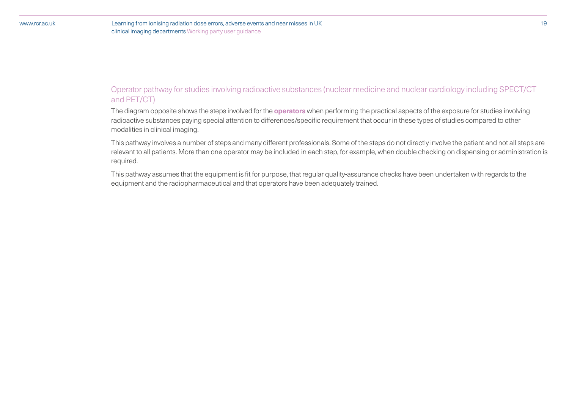# Operator pathway for studies involving radioactive substances (nuclear medicine and nuclear cardiology including SPECT/CT and PET/CT)

The diagram opposite shows the steps involved for the **operators** when performing the practical aspects of the exposure for studies involving radioactive substances paying special attention to differences/specific requirement that occur in these types of studies compared to other modalities in clinical imaging.

This pathway involves a number of steps and many different professionals. Some of the steps do not directly involve the patient and not all steps are relevant to all patients. More than one operator may be included in each step, for example, when double checking on dispensing or administration is required.

This pathway assumes that the equipment is fit for purpose, that regular quality-assurance checks have been undertaken with regards to the equipment and the radiopharmaceutical and that operators have been adequately trained.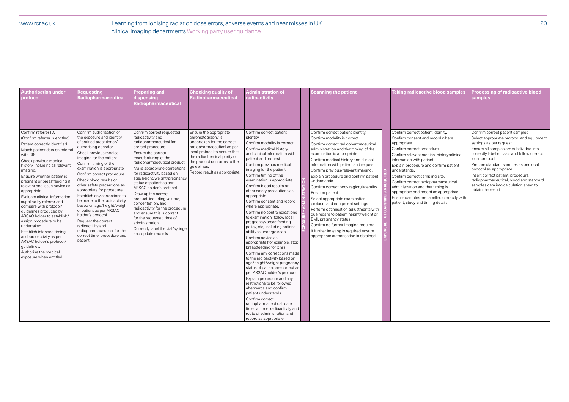### www.rcr.ac.uk

| <b>Authorisation under</b><br>protocol                                                                                                                                                                                                                                                                                                                                                                                                                                                                                                                                                                                                                                         | <b>Requesting</b><br>Radiopharmaceutical                                                                                                                                                                                                                                                                                                                                                                                                                                                                                                                                                                            | <b>Preparing and</b><br>dispensing<br>Radiopharmaceutical                                                                                                                                                                                                                                                                                                                                                                                                                                                                                                                                | <b>Checking quality of</b><br>Radiopharmaceutical                                                                                                                                                                                                      | <b>Administration of</b><br>radioactivity                                                                                                                                                                                                                                                                                                                                                                                                                                                                                                                                                                                                                                                                                                                                                                                                                                                                                                                                                                                                                                          | <b>Scanning the patient</b>                                                                                                                                                                                                                                                                                                                                                                                                                                                                                                                                                                                                                                                                                                                    | <b>Taking radioactive blood samples</b>                                                                                                                                                                                                                                                                                                                                                                                                                                                            | Processing of radioactive blood<br>samples                                                                                                                                                                                                                                                                                                                                                                                                 |
|--------------------------------------------------------------------------------------------------------------------------------------------------------------------------------------------------------------------------------------------------------------------------------------------------------------------------------------------------------------------------------------------------------------------------------------------------------------------------------------------------------------------------------------------------------------------------------------------------------------------------------------------------------------------------------|---------------------------------------------------------------------------------------------------------------------------------------------------------------------------------------------------------------------------------------------------------------------------------------------------------------------------------------------------------------------------------------------------------------------------------------------------------------------------------------------------------------------------------------------------------------------------------------------------------------------|------------------------------------------------------------------------------------------------------------------------------------------------------------------------------------------------------------------------------------------------------------------------------------------------------------------------------------------------------------------------------------------------------------------------------------------------------------------------------------------------------------------------------------------------------------------------------------------|--------------------------------------------------------------------------------------------------------------------------------------------------------------------------------------------------------------------------------------------------------|------------------------------------------------------------------------------------------------------------------------------------------------------------------------------------------------------------------------------------------------------------------------------------------------------------------------------------------------------------------------------------------------------------------------------------------------------------------------------------------------------------------------------------------------------------------------------------------------------------------------------------------------------------------------------------------------------------------------------------------------------------------------------------------------------------------------------------------------------------------------------------------------------------------------------------------------------------------------------------------------------------------------------------------------------------------------------------|------------------------------------------------------------------------------------------------------------------------------------------------------------------------------------------------------------------------------------------------------------------------------------------------------------------------------------------------------------------------------------------------------------------------------------------------------------------------------------------------------------------------------------------------------------------------------------------------------------------------------------------------------------------------------------------------------------------------------------------------|----------------------------------------------------------------------------------------------------------------------------------------------------------------------------------------------------------------------------------------------------------------------------------------------------------------------------------------------------------------------------------------------------------------------------------------------------------------------------------------------------|--------------------------------------------------------------------------------------------------------------------------------------------------------------------------------------------------------------------------------------------------------------------------------------------------------------------------------------------------------------------------------------------------------------------------------------------|
| Confirm referrer ID.<br>(Confirm referrer is entitled).<br>Patient correctly identified.<br>Match patient data on referral<br>with RIS.<br>Check previous medical<br>history, including all relevant<br>imaging.<br>Enquire whether patient is<br>pregnant or breastfeeding if<br>relevant and issue advice as<br>appropriate.<br>Evaluate clinical information<br>supplied by referrer and<br>compare with protocol/<br>guidelines produced by<br>ARSAC holder to establish/<br>assign procedure to be<br>undertaken.<br>Establish intended timing<br>and radioactivity as per<br>ARSAC holder's protocol/<br>guidelines.<br>Authorise the medical<br>exposure when entitled. | Confirm authorisation of<br>the exposure and identity<br>of entitled practitioner/<br>authorising operator.<br>Check previous medical<br>imaging for the patient.<br>Confirm timing of the<br>examination is appropriate.<br>Confirm correct procedure.<br>Check blood results or<br>other safety precautions as<br>appropriate for procedure.<br>Establish any corrections to<br>be made to the radioactivity<br>based on age/height/weight<br>of patient as per ARSAC<br>holder's protocol.<br>Request the correct<br>radioactivity and<br>radiopharmaceutical for the<br>correct time, procedure and<br>patient. | Confirm correct requested<br>radioactivity and<br>radiopharmaceutical for<br>correct procedure.<br>Ensure the correct<br>manufacturing of the<br>radiopharmaceutical product<br>Make appropriate corrections<br>for radioactivity based on<br>age/height/weight/pregnancy<br>status of patient as per<br>ARSAC holder's protocol.<br>Draw up the correct<br>product, including volume,<br>concentration, and<br>radioactivity for the procedure<br>and ensure this is correct<br>for the requested time of<br>administration.<br>Correctly label the vial/syringe<br>and update records. | Ensure the appropriate<br>chromatography is<br>undertaken for the correct<br>radiopharmaceutical as per<br>local protocol to ensure that<br>the radiochemical purity of<br>the product conforms to the<br>guidelines.<br>Record result as appropriate. | Confirm correct patient<br>identity.<br>Confirm modality is correct.<br>Confirm medical history<br>and clinical information with<br>patient and request.<br>Confirm previous medical<br>imaging for the patient.<br>Confirm timing of the<br>examination is appropriate.<br>Confirm blood results or<br>other safety precautions as<br>appropriate.<br>Confirm consent and record<br>where appropriate.<br>Confirm no contraindications<br>to examination (follow local<br>pregnancy/breastfeeding<br>policy, etc) including patient<br>ability to undergo scan.<br>Confirm advice as<br>appropriate (for example, stop<br>breastfeeding for x hrs)<br>Confirm any corrections made<br>to the radioactivity based on<br>age/height/weight pregnancy<br>status of patient are correct as<br>per ARSAC holder's protocol.<br>Explain procedure and any<br>restrictions to be followed<br>afterwards and confirm<br>patient understands.<br>Confirm correct<br>radiopharmaceutical, date,<br>time, volume, radioactivity and<br>route of administration and<br>record as appropriate. | Confirm correct patient identity.<br>Confirm modality is correct.<br>Confirm correct radiopharmaceutical<br>administration and that timing of the<br>examination is appropriate.<br>Confirm medical history and clinical<br>information with patient and request.<br>Confirm previous/relevant imaging.<br>Explain procedure and confirm patient<br>understands.<br>Confirm correct body region/laterality.<br>Position patient.<br>Select appropriate examination<br>protocol and equipment settings.<br>Perform optimisation adjustments with<br>due regard to patient height/weight or<br>BMI, pregnancy status.<br>Confirm no further imaging required.<br>If further imaging is required ensure<br>appropriate authorisation is obtained. | Confirm correct patient identity.<br>Confirm consent and record where<br>appropriate.<br>Confirm correct procedure.<br>Confirm relevant medical history/clinical<br>information with patient.<br>Explain procedure and confirm patient<br>understands.<br>Confirm correct sampling site.<br>Confirm correct radiopharmaceutical<br>administration and that timing is<br>appropriate and record as appropriate.<br>Ensure samples are labelled correctly with<br>patient, study and timing details. | Confirm correct patient samples<br>Select appropriate protocol and equipment<br>settings as per request.<br>Ensure all samples are subdivided into<br>correctly labelled vials and follow correct<br>local protocol.<br>Prepare standard samples as per local<br>protocol as appropriate.<br>Insert correct patient, procedure,<br>radiopharmaceutical, blood and standard<br>samples data into calculation sheet to<br>obtain the result. |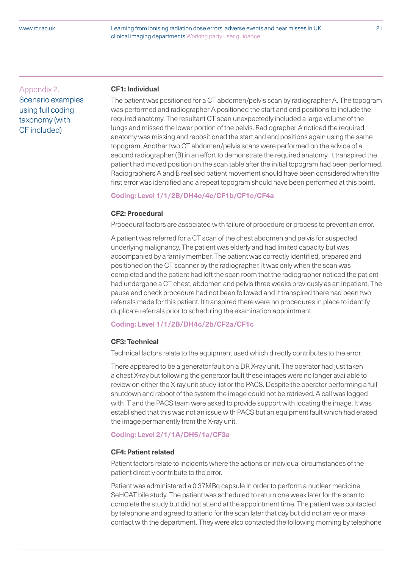Learning from ionising radiation dose errors, adverse events and near misses in UK 21 clinical imaging departments Working party user guidance

Appendix 2. Scenario examples using full coding taxonomy (with CF included)

#### **CF1: Individual**

The patient was positioned for a CT abdomen/pelvis scan by radiographer A. The topogram was performed and radiographer A positioned the start and end positions to include the required anatomy. The resultant CT scan unexpectedly included a large volume of the lungs and missed the lower portion of the pelvis. Radiographer A noticed the required anatomy was missing and repositioned the start and end positions again using the same topogram. Another two CT abdomen/pelvis scans were performed on the advice of a second radiographer (B) in an effort to demonstrate the required anatomy. It transpired the patient had moved position on the scan table after the initial topogram had been performed. Radiographers A and B realised patient movement should have been considered when the first error was identified and a repeat topogram should have been performed at this point.

### **Coding: Level 1/1/2B/DH4c/4c/CF1b/CF1c/CF4a**

#### **CF2: Procedural**

Procedural factors are associated with failure of procedure or process to prevent an error.

A patient was referred for a CT scan of the chest abdomen and pelvis for suspected underlying malignancy. The patient was elderly and had limited capacity but was accompanied by a family member. The patient was correctly identified, prepared and positioned on the CT scanner by the radiographer. It was only when the scan was completed and the patient had left the scan room that the radiographer noticed the patient had undergone a CT chest, abdomen and pelvis three weeks previously as an inpatient. The pause and check procedure had not been followed and it transpired there had been two referrals made for this patient. It transpired there were no procedures in place to identify duplicate referrals prior to scheduling the examination appointment.

#### **Coding: Level 1/1/2B/DH4c/2b/CF2a/CF1c**

#### **CF3: Technical**

Technical factors relate to the equipment used which directly contributes to the error.

There appeared to be a generator fault on a DR X-ray unit. The operator had just taken a chest X-ray but following the generator fault these images were no longer available to review on either the X-ray unit study list or the PACS. Despite the operator performing a full shutdown and reboot of the system the image could not be retrieved. A call was logged with IT and the PACS team were asked to provide support with locating the image. It was established that this was not an issue with PACS but an equipment fault which had erased the image permanently from the X-ray unit.

#### **Coding: Level 2/1/1A/DH5/1a/CF3a**

#### **CF4: Patient related**

Patient factors relate to incidents where the actions or individual circumstances of the patient directly contribute to the error.

Patient was administered a 0.37MBq capsule in order to perform a nuclear medicine SeHCAT bile study. The patient was scheduled to return one week later for the scan to complete the study but did not attend at the appointment time. The patient was contacted by telephone and agreed to attend for the scan later that day but did not arrive or make contact with the department. They were also contacted the following morning by telephone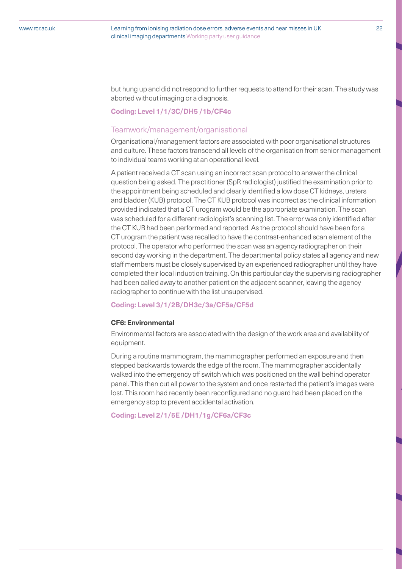but hung up and did not respond to further requests to attend for their scan. The study was aborted without imaging or a diagnosis.

#### **Coding: Level 1/1/3C/DH5 /1b/CF4c**

### Teamwork/management/organisational

Organisational/management factors are associated with poor organisational structures and culture. These factors transcend all levels of the organisation from senior management to individual teams working at an operational level.

A patient received a CT scan using an incorrect scan protocol to answer the clinical question being asked. The practitioner (SpR radiologist) justified the examination prior to the appointment being scheduled and clearly identified a low dose CT kidneys, ureters and bladder (KUB) protocol. The CT KUB protocol was incorrect as the clinical information provided indicated that a CT urogram would be the appropriate examination. The scan was scheduled for a different radiologist's scanning list. The error was only identified after the CT KUB had been performed and reported. As the protocol should have been for a CT urogram the patient was recalled to have the contrast-enhanced scan element of the protocol. The operator who performed the scan was an agency radiographer on their second day working in the department. The departmental policy states all agency and new staff members must be closely supervised by an experienced radiographer until they have completed their local induction training. On this particular day the supervising radiographer had been called away to another patient on the adjacent scanner, leaving the agency radiographer to continue with the list unsupervised.

#### **Coding: Level 3/1/2B/DH3c/3a/CF5a/CF5d**

#### **CF6: Environmental**

Environmental factors are associated with the design of the work area and availability of equipment.

During a routine mammogram, the mammographer performed an exposure and then stepped backwards towards the edge of the room. The mammographer accidentally walked into the emergency off switch which was positioned on the wall behind operator panel. This then cut all power to the system and once restarted the patient's images were lost. This room had recently been reconfigured and no guard had been placed on the emergency stop to prevent accidental activation.

#### **Coding: Level 2/1/5E /DH1/1g/CF6a/CF3c**